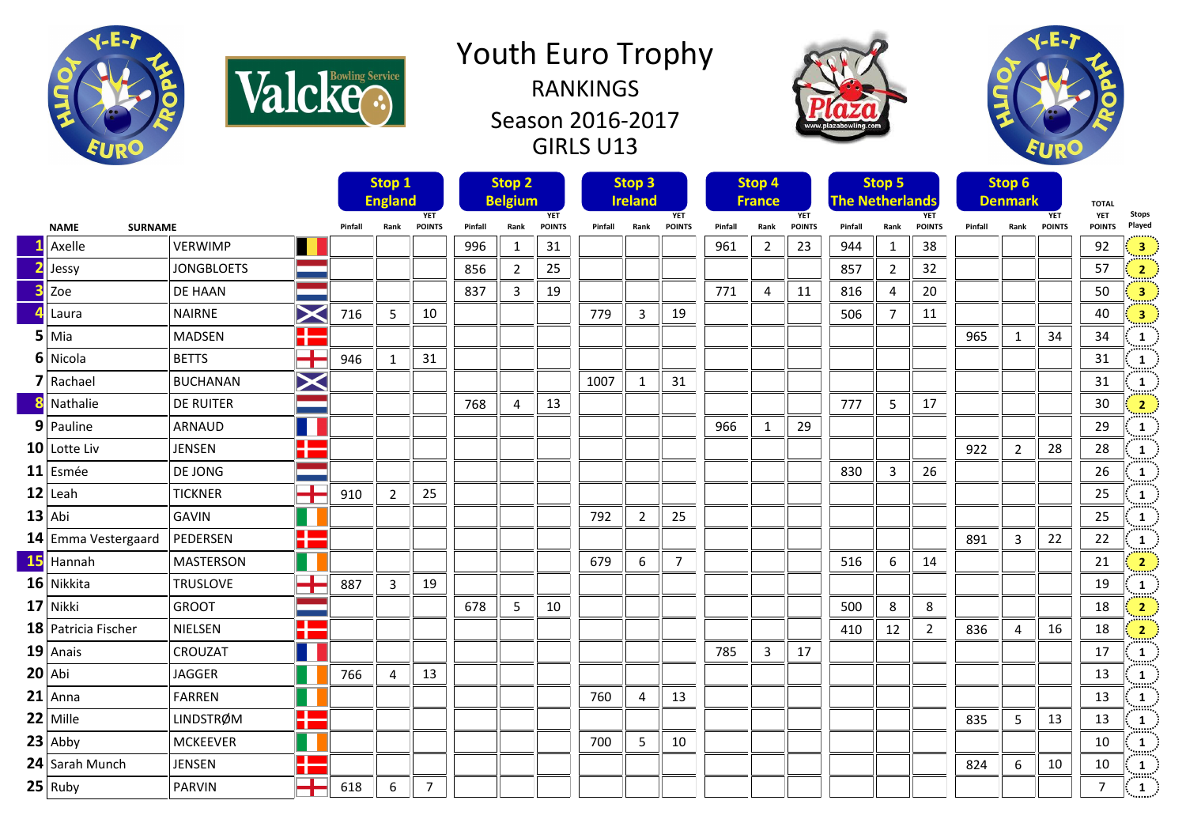

Valcke.

## Youth Euro Trophy RANKINGS Season 2016-2017 GIRLS U13





|    |                               |                   |                                                                                                                            |         | Stop 1<br><b>England</b> |                             |         | Stop <sub>2</sub><br><b>Belgium</b> |                             |         | Stop <sub>3</sub><br><b>Ireland</b> |                             |         | Stop 4<br><b>France</b> |                             | <b>The Netherlands</b> | Stop 5         |                             |         | Stop 6<br><b>Denmark</b> |                             | <b>TOTAL</b>         |                          |
|----|-------------------------------|-------------------|----------------------------------------------------------------------------------------------------------------------------|---------|--------------------------|-----------------------------|---------|-------------------------------------|-----------------------------|---------|-------------------------------------|-----------------------------|---------|-------------------------|-----------------------------|------------------------|----------------|-----------------------------|---------|--------------------------|-----------------------------|----------------------|--------------------------|
|    | <b>NAME</b><br><b>SURNAME</b> |                   |                                                                                                                            | Pinfall | Rank                     | <b>YET</b><br><b>POINTS</b> | Pinfall | Rank                                | <b>YET</b><br><b>POINTS</b> | Pinfall | Rank                                | <b>YET</b><br><b>POINTS</b> | Pinfall | Rank                    | <b>YET</b><br><b>POINTS</b> | Pinfall                | Rank           | <b>YET</b><br><b>POINTS</b> | Pinfall | Rank                     | <b>YET</b><br><b>POINTS</b> | YET<br><b>POINTS</b> | <b>Stops</b><br>Played   |
|    | Axelle                        | <b>VERWIMP</b>    |                                                                                                                            |         |                          |                             | 996     | 1                                   | 31                          |         |                                     |                             | 961     | $\overline{2}$          | 23                          | 944                    | 1              | 38                          |         |                          |                             | 92                   | $\overline{\mathbf{3}}$  |
|    | Jessy                         | <b>JONGBLOETS</b> |                                                                                                                            |         |                          |                             | 856     | $\overline{2}$                      | 25                          |         |                                     |                             |         |                         |                             | 857                    | $\overline{2}$ | 32                          |         |                          |                             | 57                   | $\overline{2}$           |
|    | Zoe                           | DE HAAN           |                                                                                                                            |         |                          |                             | 837     | 3                                   | 19                          |         |                                     |                             | 771     | 4                       | 11                          | 816                    | $\overline{4}$ | 20                          |         |                          |                             | 50                   | $\overline{\mathbf{3}}$  |
|    | Laura                         | <b>NAIRNE</b>     | $\triangleright$                                                                                                           | 716     | 5                        | 10                          |         |                                     |                             | 779     | 3                                   | 19                          |         |                         |                             | 506                    | 7              | 11                          |         |                          |                             | 40                   | $\overline{\mathbf{3}}$  |
|    | 5 Mia                         | <b>MADSEN</b>     | 22                                                                                                                         |         |                          |                             |         |                                     |                             |         |                                     |                             |         |                         |                             |                        |                |                             | 965     | $\mathbf{1}$             | 34                          | 34                   | $\mathbf{1}$<br>mun      |
|    | 6 Nicola                      | <b>BETTS</b>      | ┳<br>T                                                                                                                     | 946     | 1                        | 31                          |         |                                     |                             |         |                                     |                             |         |                         |                             |                        |                |                             |         |                          |                             | 31                   | $\mathbf{1}$             |
|    | 7 Rachael                     | <b>BUCHANAN</b>   | $\bm{\times}$                                                                                                              |         |                          |                             |         |                                     |                             | 1007    | 1                                   | 31                          |         |                         |                             |                        |                |                             |         |                          |                             | 31                   | $\mathbf{1}$             |
|    | Nathalie                      | <b>DE RUITER</b>  |                                                                                                                            |         |                          |                             | 768     | 4                                   | 13                          |         |                                     |                             |         |                         |                             | 777                    | 5              | 17                          |         |                          |                             | 30                   | $\overline{2}$           |
|    | 9 Pauline                     | <b>ARNAUD</b>     |                                                                                                                            |         |                          |                             |         |                                     |                             |         |                                     |                             | 966     | $\mathbf{1}$            | 29                          |                        |                |                             |         |                          |                             | 29                   | $\mathbf{1}$             |
|    | $10$ Lotte Liv                | <b>JENSEN</b>     | H                                                                                                                          |         |                          |                             |         |                                     |                             |         |                                     |                             |         |                         |                             |                        |                |                             | 922     | $\overline{2}$           | 28                          | 28                   | m<br>$\mathbf{1}$<br>m   |
|    | 11 Esmée                      | DE JONG           |                                                                                                                            |         |                          |                             |         |                                     |                             |         |                                     |                             |         |                         |                             | 830                    | 3              | 26                          |         |                          |                             | 26                   | 1<br>m                   |
|    | $12$ Leah                     | <b>TICKNER</b>    | <b>The Contract of the Contract of the Contract of the Contract of the Contract of the Contract of the Contract o</b><br>T | 910     | $\overline{2}$           | 25                          |         |                                     |                             |         |                                     |                             |         |                         |                             |                        |                |                             |         |                          |                             | 25                   | $\mathbf{1}$<br>hanna an |
|    | $13$ Abi                      | <b>GAVIN</b>      |                                                                                                                            |         |                          |                             |         |                                     |                             | 792     | $\overline{2}$                      | 25                          |         |                         |                             |                        |                |                             |         |                          |                             | 25                   | $\mathbf{1}$<br>m        |
|    | 14 Emma Vestergaard           | PEDERSEN          | Æ                                                                                                                          |         |                          |                             |         |                                     |                             |         |                                     |                             |         |                         |                             |                        |                |                             | 891     | $\mathbf{3}$             | 22                          | 22                   | $\mathbf{1}$             |
| 15 | Hannah                        | <b>MASTERSON</b>  |                                                                                                                            |         |                          |                             |         |                                     |                             | 679     | 6                                   | $\overline{7}$              |         |                         |                             | 516                    | 6              | 14                          |         |                          |                             | 21                   | $\overline{2}$           |
|    | 16 Nikkita                    | <b>TRUSLOVE</b>   | T.<br>┱                                                                                                                    | 887     | 3                        | 19                          |         |                                     |                             |         |                                     |                             |         |                         |                             |                        |                |                             |         |                          |                             | 19                   | $\mathbf{1}$             |
|    | 17 Nikki                      | <b>GROOT</b>      |                                                                                                                            |         |                          |                             | 678     | 5                                   | 10                          |         |                                     |                             |         |                         |                             | 500                    | 8              | 8                           |         |                          |                             | 18                   | $\overline{2}$           |
|    | 18 Patricia Fischer           | NIELSEN           | Ŧ                                                                                                                          |         |                          |                             |         |                                     |                             |         |                                     |                             |         |                         |                             | 410                    | 12             | $\overline{2}$              | 836     | 4                        | 16                          | 18                   | $\overline{2}$           |
|    | $19$ Anais                    | CROUZAT           |                                                                                                                            |         |                          |                             |         |                                     |                             |         |                                     |                             | 785     | 3                       | 17                          |                        |                |                             |         |                          |                             | 17                   | $\mathbf{1}$             |
|    | $20$ Abi                      | <b>JAGGER</b>     |                                                                                                                            | 766     | 4                        | 13                          |         |                                     |                             |         |                                     |                             |         |                         |                             |                        |                |                             |         |                          |                             | 13                   | $\mathbf{1}$<br>m        |
|    | $21$ Anna                     | <b>FARREN</b>     |                                                                                                                            |         |                          |                             |         |                                     |                             | 760     | 4                                   | 13                          |         |                         |                             |                        |                |                             |         |                          |                             | 13                   | 1<br>(taal               |
|    | 22 Mille                      | <b>LINDSTRØM</b>  | H                                                                                                                          |         |                          |                             |         |                                     |                             |         |                                     |                             |         |                         |                             |                        |                |                             | 835     | 5                        | 13                          | 13                   | 1<br>mm                  |
|    | $23$ Abby                     | <b>MCKEEVER</b>   |                                                                                                                            |         |                          |                             |         |                                     |                             | 700     | 5                                   | 10                          |         |                         |                             |                        |                |                             |         |                          |                             | 10                   | $\mathbf{1}$             |
|    | 24 Sarah Munch                | <b>JENSEN</b>     | H                                                                                                                          |         |                          |                             |         |                                     |                             |         |                                     |                             |         |                         |                             |                        |                |                             | 824     | 6                        | 10                          | 10                   | 1<br>(taalaa)            |
|    | $25$ Ruby                     | <b>PARVIN</b>     | $\mathbf{r}$                                                                                                               | 618     | 6                        | $\overline{7}$              |         |                                     |                             |         |                                     |                             |         |                         |                             |                        |                |                             |         |                          |                             | $\overline{7}$       | $\mathbf{1}$             |